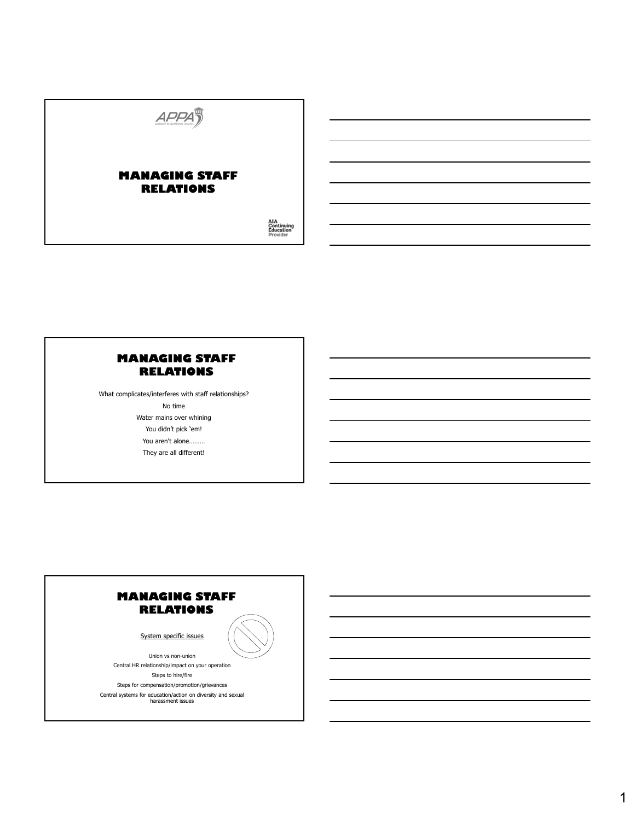

What complicates/interferes with staff relationships? No time Water mains over whining You didn't pick 'em! You aren't alone……… They are all different!

# **MANAGING STAFF RELATIONS**

System specific issues

Union vs non-union

Central HR relationship/impact on your operation

Steps to hire/fire Steps for compensation/promotion/grievances Central systems for education/action on diversity and sexual harassment issues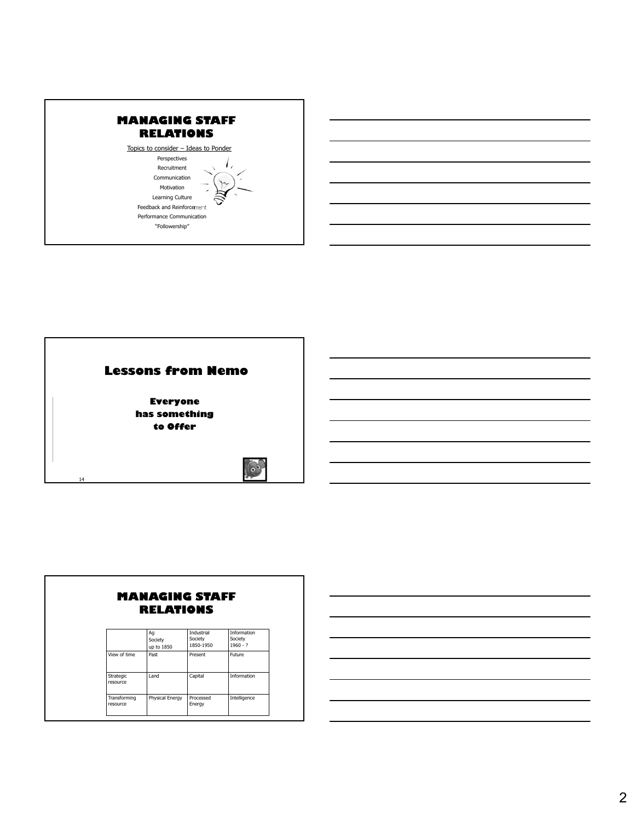



|              | RELATIONS                   | <b>MANAGING STAFF</b>                     |                                             |
|--------------|-----------------------------|-------------------------------------------|---------------------------------------------|
|              | Aq<br>Society<br>up to 1850 | <b>Industrial</b><br>Society<br>1850-1950 | <b>Information</b><br>Society<br>$1960 - ?$ |
| View of time | Past                        | Present                                   | Future                                      |

|                          | .               | .                   | .            |
|--------------------------|-----------------|---------------------|--------------|
| Strategic<br>resource    | Land            | Capital             | Information  |
| Transforming<br>resource | Physical Energy | Processed<br>Energy | Intelligence |

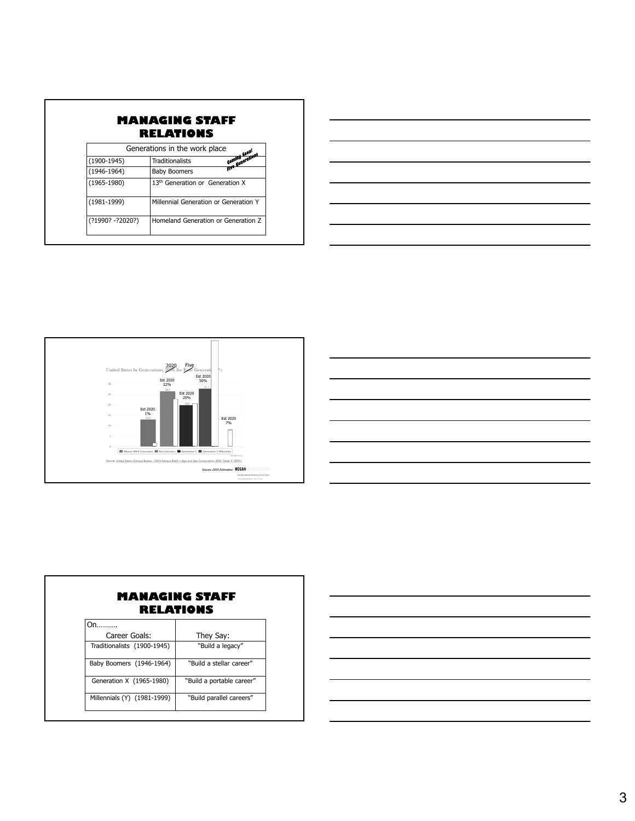|                   | Generations in the work place               |                              |
|-------------------|---------------------------------------------|------------------------------|
| $(1900-1945)$     | <b>Traditionalists</b>                      | Equing Soon!<br>Equing Soon! |
| (1946-1964)       | <b>Baby Boomers</b>                         |                              |
| $(1965 - 1980)$   | 13 <sup>th</sup> Generation or Generation X |                              |
| $(1981 - 1999)$   | Millennial Generation or Generation Y       |                              |
| (?1990? - ?2020?) | Homeland Generation or Generation Z         |                              |





|                             | RELATIONS                 |
|-----------------------------|---------------------------|
| On.                         |                           |
| Career Goals:               | They Say:                 |
| Traditionalists (1900-1945) | "Build a legacy"          |
| Baby Boomers (1946-1964)    | "Build a stellar career"  |
| Generation X (1965-1980)    | "Build a portable career" |
| Millennials (Y) (1981-1999) | "Build parallel careers"  |

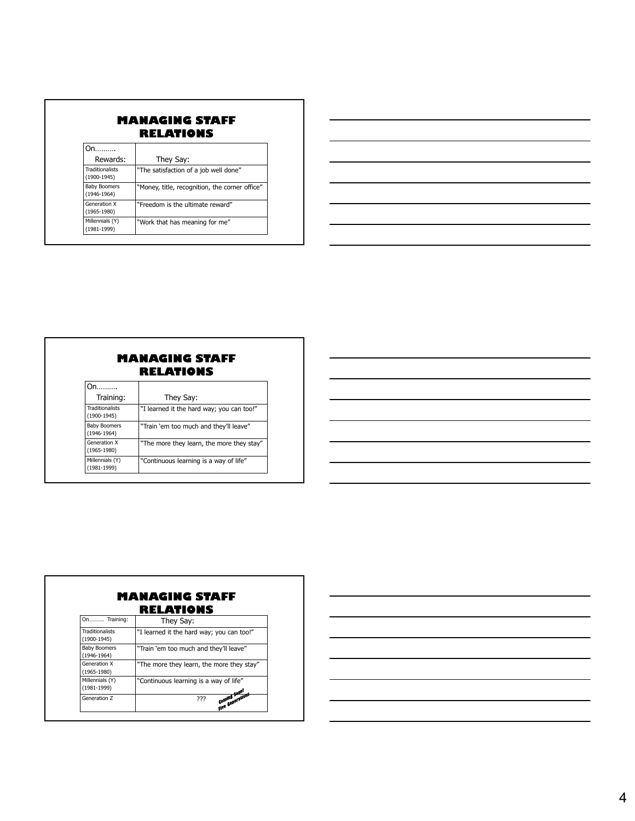| Rewards:                                  | They Say:                                      |
|-------------------------------------------|------------------------------------------------|
| <b>Traditionalists</b><br>$(1900 - 1945)$ | "The satisfaction of a job well done"          |
| <b>Baby Boomers</b><br>$(1946 - 1964)$    | "Money, title, recognition, the corner office" |
| <b>Generation X</b><br>$(1965 - 1980)$    | "Freedom is the ultimate reward"               |
| Millennials (Y)<br>$(1981 - 1999)$        | "Work that has meaning for me"                 |

| <b>MANAGING STAFF</b> |
|-----------------------|
| <b>RELATIONS</b>      |

| Training:                               | They Say:                                 |
|-----------------------------------------|-------------------------------------------|
| <b>Traditionalists</b><br>$(1900-1945)$ | "I learned it the hard way; you can too!" |
| <b>Baby Boomers</b><br>$(1946 - 1964)$  | "Train 'em too much and they'll leave"    |
| Generation X<br>$(1965 - 1980)$         | "The more they learn, the more they stay" |
| Millennials (Y)<br>$(1981 - 1999)$      | "Continuous learning is a way of life"    |

|                                         | RELATIONS                                 |
|-----------------------------------------|-------------------------------------------|
| On Training:                            | They Say:                                 |
| <b>Traditionalists</b><br>$(1900-1945)$ | "I learned it the hard way; you can too!" |
| <b>Baby Boomers</b><br>$(1946 - 1964)$  | "Train 'em too much and they'll leave"    |
| Generation X<br>$(1965 - 1980)$         | "The more they learn, the more they stay" |
| Millennials (Y)<br>$(1981 - 1999)$      | "Continuous learning is a way of life"    |
| Generation Z                            | Coming Soon!<br>Five Generations<br>???   |

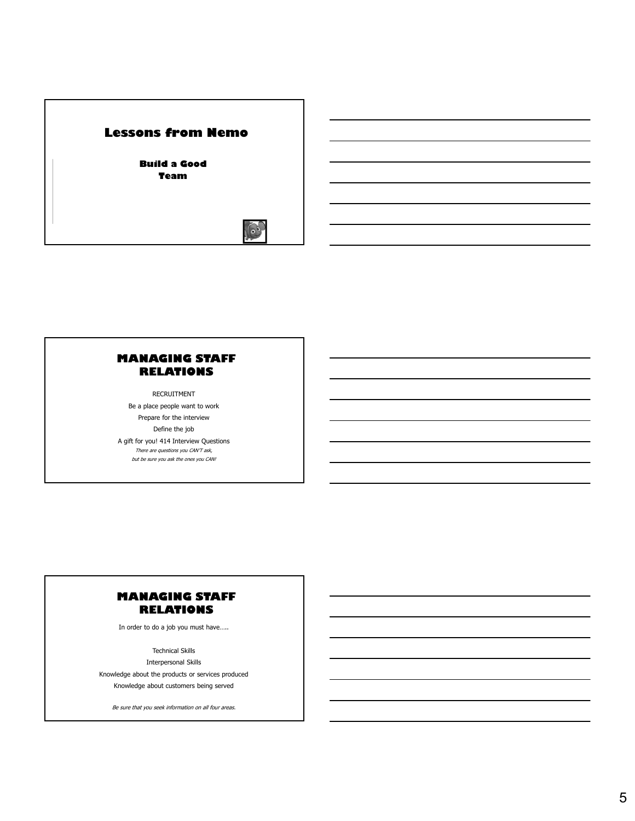# **Lessons from Nemo**

**Build a Good Team**



#### **MANAGING STAFF RELATIONS**

RECRUITMENT Be a place people want to work Prepare for the interview Define the job A gift for you! 414 Interview Questions There are questions you CAN'T ask, but be sure you ask the ones you CAN!

# **MANAGING STAFF RELATIONS**

In order to do a job you must have…..

Technical Skills

Interpersonal Skills Knowledge about the products or services produced Knowledge about customers being served

Be sure that you seek information on all four areas.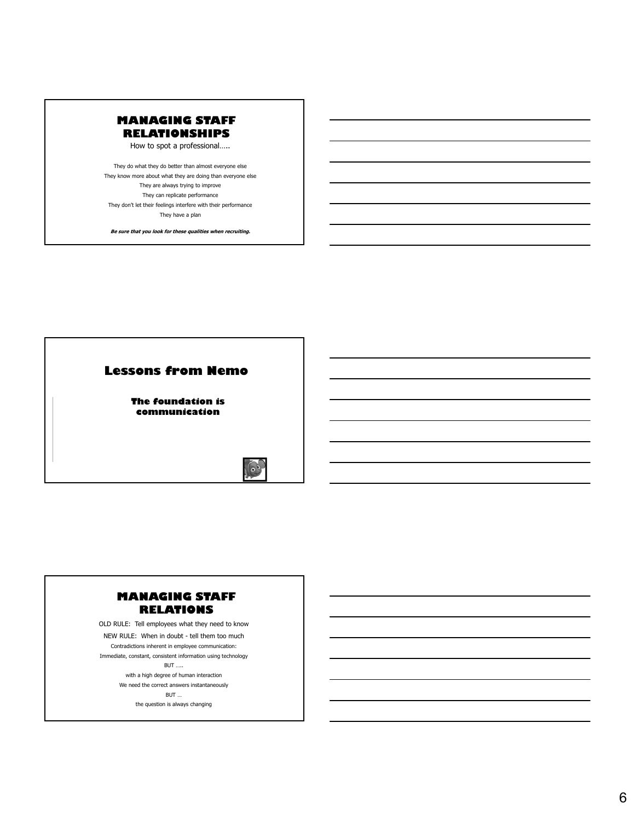

How to spot a professional…..

They do what they do better than almost everyone else They know more about what they are doing than everyone else They are always trying to improve They can replicate performance They don't let their feelings interfere with their performance They have a plan

**Be sure that you look for these qualities when recruiting.**



# **MANAGING STAFF RELATIONS**

OLD RULE: Tell employees what they need to know NEW RULE: When in doubt - tell them too much Contradictions inherent in employee communication: Immediate, constant, consistent information using technology BUT ….. with a high degree of human interaction We need the correct answers instantaneously BUT …

the question is always changing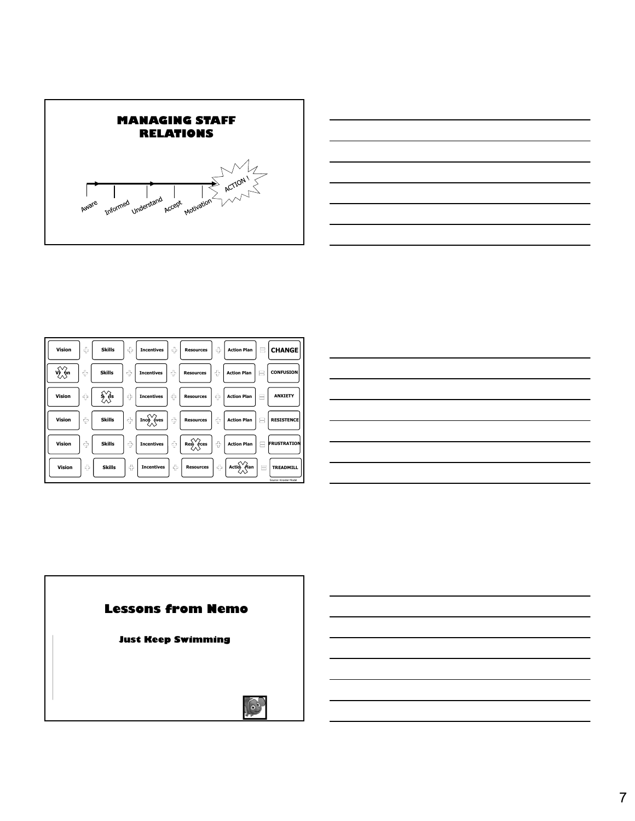



| Vision        | <b>P</b>                               | Skills                                                 |                                                        |  |                                                                                                                                                                                                                                                                                                                                     | Incentives     Resources     Action Plan       CHANGE                                                                                                                                            |
|---------------|----------------------------------------|--------------------------------------------------------|--------------------------------------------------------|--|-------------------------------------------------------------------------------------------------------------------------------------------------------------------------------------------------------------------------------------------------------------------------------------------------------------------------------------|--------------------------------------------------------------------------------------------------------------------------------------------------------------------------------------------------|
| $\sqrt{\phi}$ | $\Gamma_{\rm d}$ .                     | <b>Skills</b>                                          | $\Box$ Incentives                                      |  | Resources     Action Plan     CONFUSION                                                                                                                                                                                                                                                                                             |                                                                                                                                                                                                  |
| Vision        |                                        |                                                        |                                                        |  | $\begin{array}{c c c c c c c} \hline \downarrow & \hline \downarrow & \hline \downarrow & \hline \downarrow & \hline \end{array}$ Resources $\begin{array}{c c c} \hline \downarrow & \hline \downarrow & \hline \end{array}$ Action Plan $\begin{array}{c c c} \hline \downarrow & \hline \downarrow & \hline \end{array}$ ANXIETY |                                                                                                                                                                                                  |
| Vision        |                                        | $\begin{array}{ c c c c c } \hline \end{array}$ Skills |                                                        |  |                                                                                                                                                                                                                                                                                                                                     |                                                                                                                                                                                                  |
| Vision        | $\mathbb{C}^{\mathbb{Z}^+}_\mathbb{C}$ | <b>Skills</b>                                          | $\left \begin{array}{c} \end{array}\right $ Incentives |  |                                                                                                                                                                                                                                                                                                                                     | $\Big \oplus\Big \hspace{0.1cm} \text{Res}\hspace{0.1cm}\Big  \text{Res}\hspace{0.1cm}\Big \oplus\Big \hspace{0.1cm}\text{Action Plan}\hspace{0.1cm}\Big \equiv\hspace{0.1cm}\text{FRUSTRATION}$ |
| Vision        | $\tau_{\rm L}^{\rm T_{\rm b}}$ .       | <b>Skills</b>                                          | ncentives                                              |  | $ \oplus $ Resources $ \oplus $ Actio $\bigcirc$ $\bigcirc$ $\bigcirc$ $\bigcirc$ $  \oplus $ TREADMILL                                                                                                                                                                                                                             | Source: Knoster Model                                                                                                                                                                            |

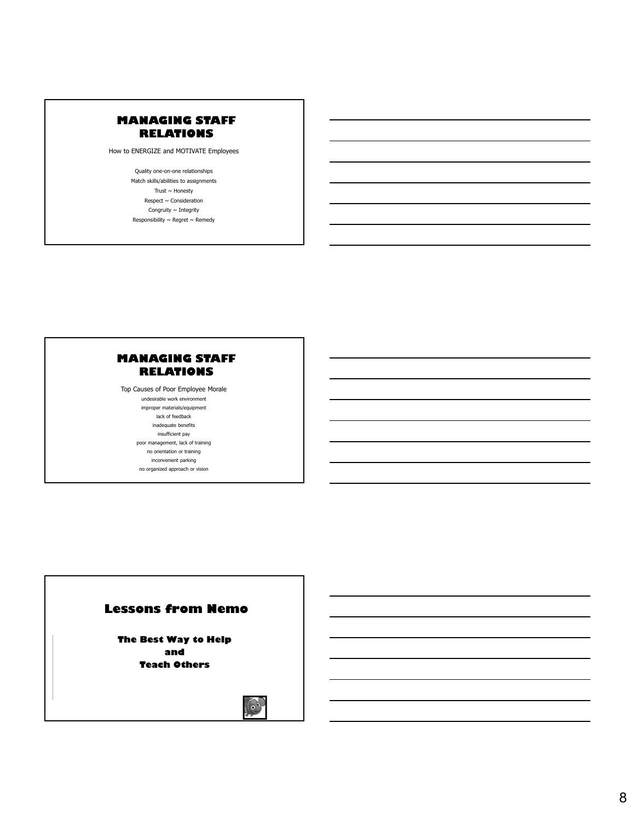How to ENERGIZE and MOTIVATE Employees

Quality one-on-one relationships Match skills/abilities to assignments Trust  $\sim$  Honesty Respect  $\sim$  Consideration Congruity  $\sim$  Integrity Responsibility  $\sim$  Regret  $\sim$  Remedy

# **MANAGING STAFF RELATIONS**

Top Causes of Poor Employee Morale undesirable work environment improper materials/equipment lack of feedback inadequate benefits insufficient pay

poor management, lack of training

no orientation or training

inconvenient parking no organized approach or vision

#### **Lessons from Nemo**

**The Best Way to Help and Teach Others**

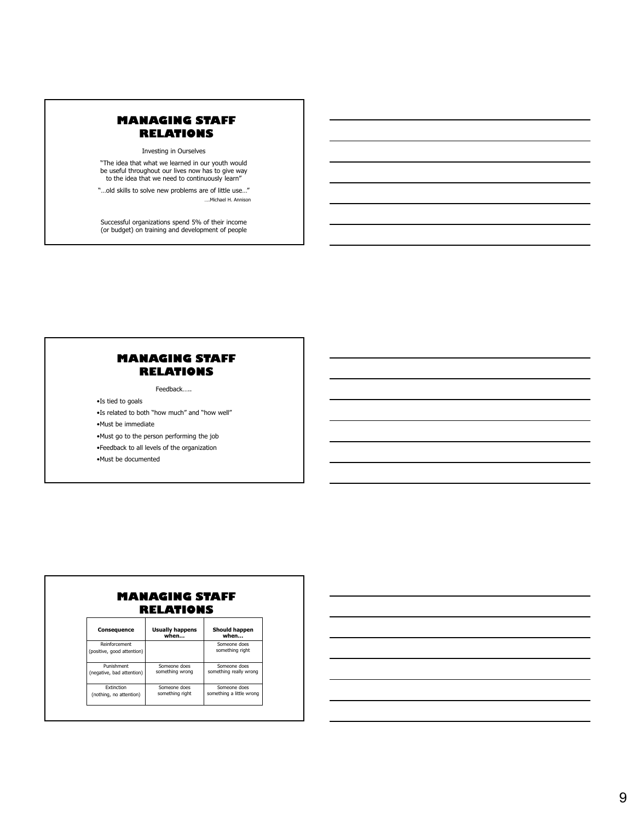Investing in Ourselves

"The idea that what we learned in our youth would be useful throughout our lives now has to give way to the idea that we need to continuously learn"

"…old skills to solve new problems are of little use…" ….Michael H. Annison

Successful organizations spend 5% of their income (or budget) on training and development of people

# **MANAGING STAFF RELATIONS**

Feedback…..

•Is tied to goals

•Is related to both "how much" and "how well"

•Must be immediate

•Must go to the person performing the job

•Feedback to all levels of the organization

•Must be documented

| RELATIONS                                   |                                 |                                          |  |  |  |
|---------------------------------------------|---------------------------------|------------------------------------------|--|--|--|
| Consequence                                 | <b>Usually happens</b><br>when  | Should happen<br>when                    |  |  |  |
| Reinforcement<br>(positive, good attention) |                                 | Someone does<br>something right          |  |  |  |
| Punishment<br>(negative, bad attention)     | Someone does<br>something wrong | Someone does<br>something really wrong   |  |  |  |
| Extinction<br>(nothing, no attention)       | Someone does<br>something right | Someone does<br>something a little wrong |  |  |  |

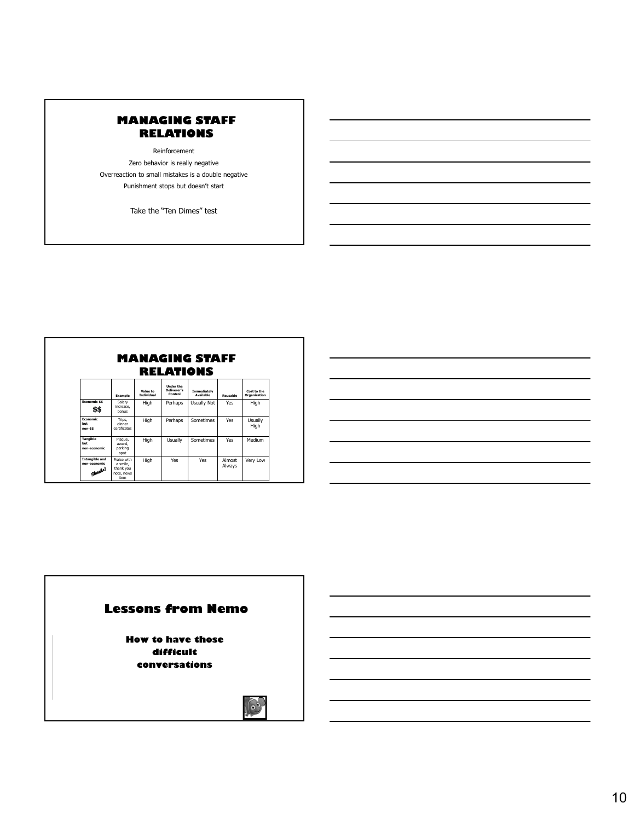Reinforcement Zero behavior is really negative Overreaction to small mistakes is a double negative Punishment stops but doesn't start

Take the "Ten Dimes" test

|                                                 | RELATIONS                                                  |                               |                                            |                                 |                  |                             |  |
|-------------------------------------------------|------------------------------------------------------------|-------------------------------|--------------------------------------------|---------------------------------|------------------|-----------------------------|--|
|                                                 | Example                                                    | Value to<br><b>Individual</b> | <b>Under the</b><br>Deliverer's<br>Control | Immediately<br><b>Available</b> | Reusable         | Cost to the<br>Organization |  |
| <b>Economic \$\$</b><br>\$\$                    | Salary<br>increase.<br>honus                               | High                          | Perhaps                                    | Usually Not                     | Yes              | <b>High</b>                 |  |
| <b>Economic</b><br>hut<br>non-\$\$              | Trips.<br>dinner<br>certificates                           | High                          | Perhaps                                    | Sometimes                       | Yes              | Usually<br>High             |  |
| <b>Tangible</b><br>hut<br>non-economic          | Plaque,<br>award.<br>parking<br>spot                       | High                          | Usually                                    | Sometimes                       | Yes              | Medium                      |  |
| <b>Intangible and</b><br>non-economic<br>المطير | Praise with<br>a smile.<br>thank you<br>note, news<br>item | High                          | Yes                                        | Yes                             | Almost<br>Always | Very Low                    |  |

# **Lessons from Nemo**

**How to have those difficult conversations**

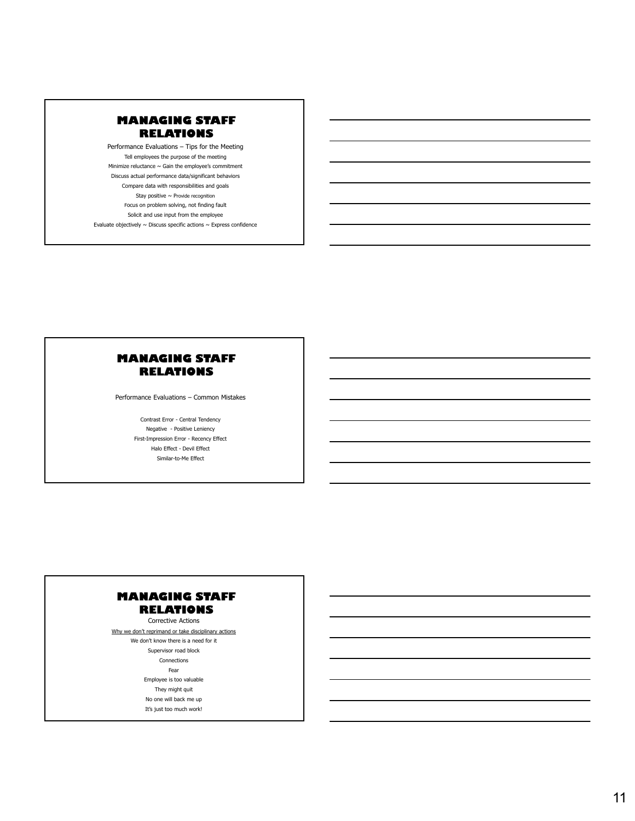Performance Evaluations – Tips for the Meeting Tell employees the purpose of the meeting Minimize reluctance  $\sim$  Gain the employee's commitment Discuss actual performance data/significant behaviors Compare data with responsibilities and goals Stay positive  $\sim$  Provide recognition Focus on problem solving, not finding fault Solicit and use input from the employee Evaluate objectively  $\sim$  Discuss specific actions  $\sim$  Express confidence

#### **MANAGING STAFF RELATIONS**

Performance Evaluations – Common Mistakes

Contrast Error - Central Tendency Negative - Positive Leniency First-Impression Error - Recency Effect Halo Effect - Devil Effect Similar-to-Me Effect

# **MANAGING STAFF RELATIONS**

Corrective Actions

Why we don't reprimand or take disciplinary actions We don't know there is a need for it

Supervisor road block

Connections

Fear

- Employee is too valuable
- They might quit

No one will back me up

It's just too much work!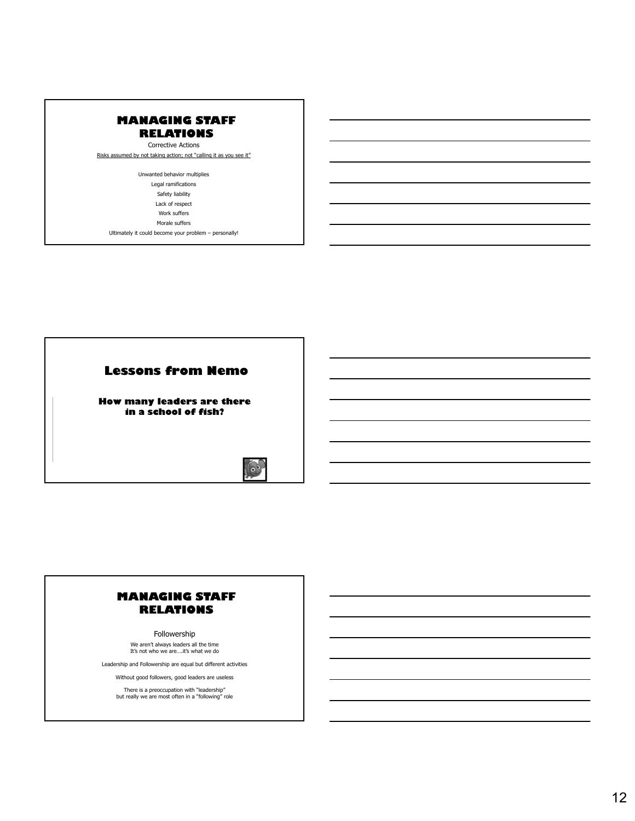Corrective Actions

Risks assumed by not taking action; not "calling it as you see it"

Unwanted behavior multiplies Legal ramifications Safety liability Lack of respect Work suffers Morale suffers

Ultimately it could become your problem – personally!



# **MANAGING STAFF RELATIONS**

Followership We aren't always leaders all the time It's not who we are….it's what we do

Leadership and Followership are equal but different activities

Without good followers, good leaders are useless

There is a preoccupation with "leadership" but really we are most often in a "following" role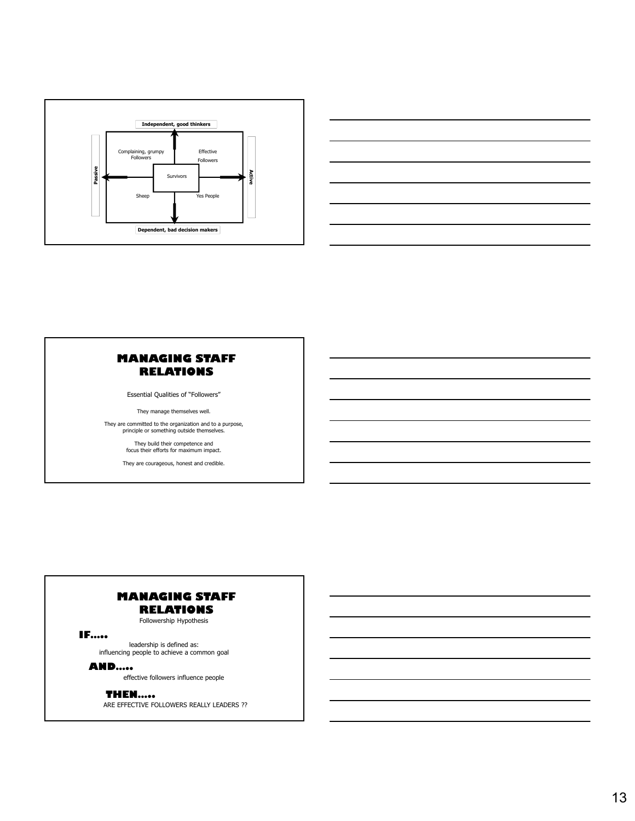



Essential Qualities of "Followers"

They manage themselves well.

They are committed to the organization and to a purpose, principle or something outside themselves.

> They build their competence and focus their efforts for maximum impact.

They are courageous, honest and credible.

# **MANAGING STAFF RELATIONS**

Followership Hypothesis

#### **IF…..**

leadership is defined as: influencing people to achieve a common goal

#### **AND…..**

effective followers influence people

#### **THEN…..**

ARE EFFECTIVE FOLLOWERS REALLY LEADERS ??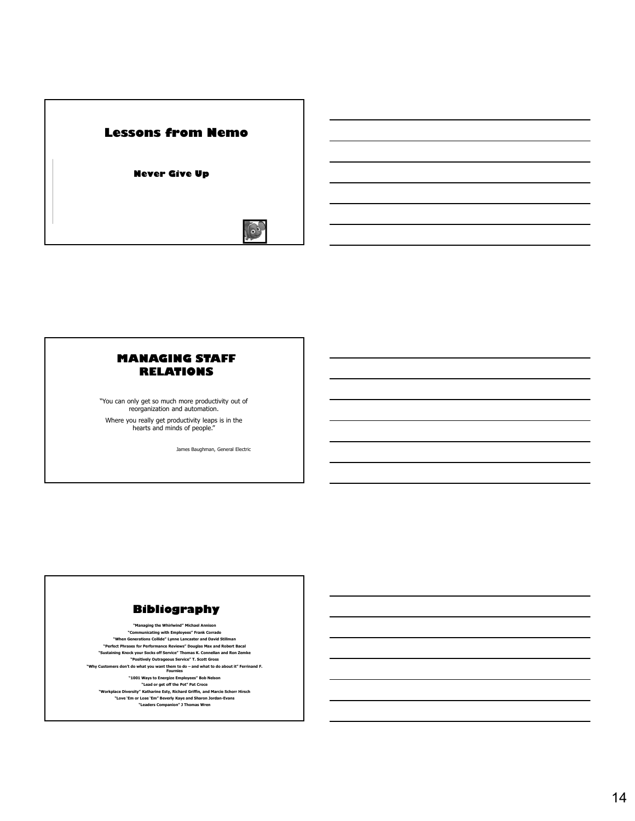

"You can only get so much more productivity out of reorganization and automation.

Where you really get productivity leaps is in the hearts and minds of people."

James Baughman, General Electric

# **Bibliography**

**"Managing the Whirlwind" Michael Annison "Communicating with Employees" Frank Corrado "When Generations Collide" Lynne Lancaster and David Stillman "Perfect Phrases for Performance Reviews" Douglas Max and Robert Bacal "Sustaining Knock your Socks off Service" Thomas K. Connellan and Ron Zemke "Positively Outrageous Service" T. Scott Gross "Why Customers don't do what you want them to do – and what to do about it" Ferrinand F. Fournies "1001 Ways to Energize Employees" Bob Nelson "Lead or get off the Pot" Pat Croce "Workplace Diversity" Katharine Esty, Richard Griffin, and Marcie Schorr Hirsch "Love 'Em or Lose 'Em" Beverly Kaye and Sharon Jordan-Evans "Leaders Companion" J Thomas Wren**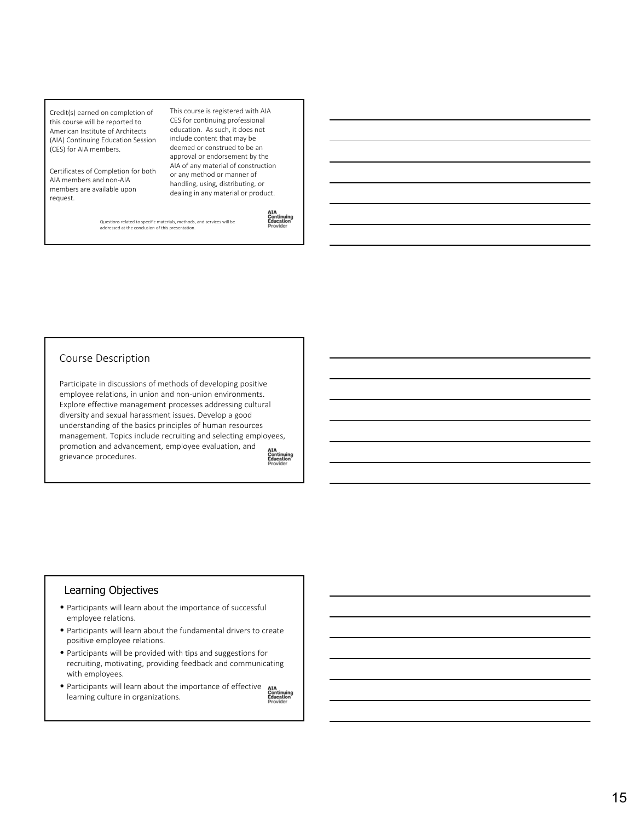Credit(s) earned on completion of this course will be reported to American Institute of Architects (AIA) Continuing Education Session (CES) for AIA members.

Certificates of Completion for both AIA members and non‐AIA members are available upon request.

This course is registered with AIA CES for continuing professional education. As such, it does not include content that may be deemed or construed to be an approval or endorsement by the AIA of any material of construction or any method or manner of handling, using, distributing, or dealing in any material or product.

Questions related to specific materials, methods, and services will be addressed at the conclusion of this presentation.

#### Course Description

Participate in discussions of methods of developing positive employee relations, in union and non-union environments. Explore effective management processes addressing cultural diversity and sexual harassment issues. Develop a good understanding of the basics principles of human resources management. Topics include recruiting and selecting employees, promotion and advancement, employee evaluation, and grievance procedures.

**Continuing**<br>Education

#### Learning Objectives

- Participants will learn about the importance of successful employee relations.
- Participants will learn about the fundamental drivers to create positive employee relations.
- Participants will be provided with tips and suggestions for recruiting, motivating, providing feedback and communicating with employees.
- WITH employees.<br>• Participants will learn about the importance of effective and continuing<br>Education learning culture in organizations.